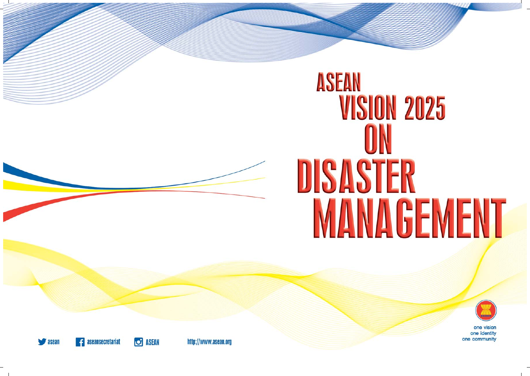# ASEAN **VISION 2025** ON DISASTER **MANAGEMENT**



one vision one identity one community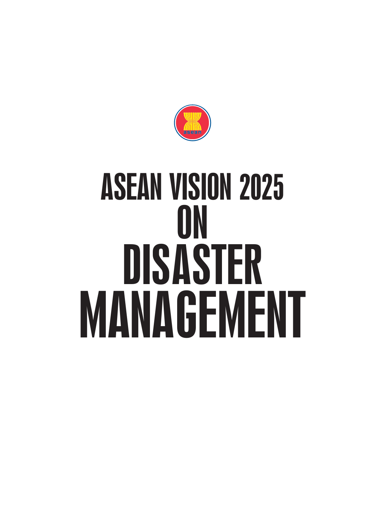

### **MANAGEMENT** DISASTER ON ASEAN VISION 2025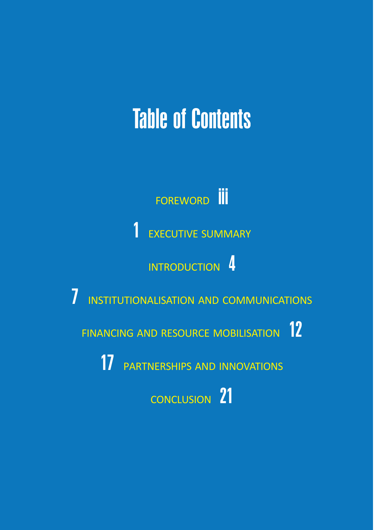#### Table of Contents

FOREWORD **iii** 1 EXECUTIVE SUMMARY INTRODUCTION 4 7 INSTITUTIONALISATION AND COMMUNICATIONS FINANCING AND RESOURCE MOBILISATION 12 17 PARTNERSHIPS AND INNOVATIONS CONCLUSION<sub>21</sub>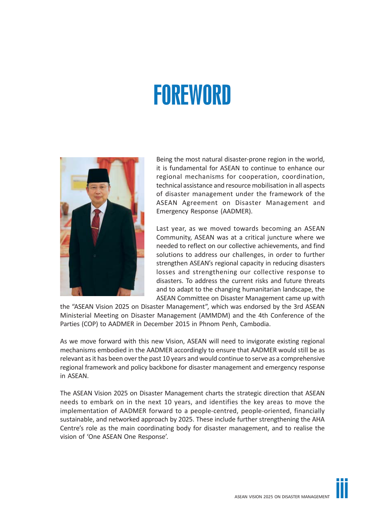#### FOREWORD



Being the most natural disaster-prone region in the world, it is fundamental for ASEAN to continue to enhance our regional mechanisms for cooperation, coordination, technical assistance and resource mobilisation in all aspects of disaster management under the framework of the ASEAN Agreement on Disaster Management and Emergency Response (AADMER).

Last year, as we moved towards becoming an ASEAN Community, ASEAN was at a critical juncture where we needed to reflect on our collective achievements, and find solutions to address our challenges, in order to further strengthen ASEAN's regional capacity in reducing disasters losses and strengthening our collective response to disasters. To address the current risks and future threats and to adapt to the changing humanitarian landscape, the ASEAN Committee on Disaster Management came up with

the "ASEAN Vision 2025 on Disaster Management", which was endorsed by the 3rd ASEAN Ministerial Meeting on Disaster Management (AMMDM) and the 4th Conference of the Parties (COP) to AADMER in December 2015 in Phnom Penh, Cambodia.

As we move forward with this new Vision, ASEAN will need to invigorate existing regional mechanisms embodied in the AADMER accordingly to ensure that AADMER would still be as relevant as it has been over the past 10 years and would continue to serve as a comprehensive regional framework and policy backbone for disaster management and emergency response in ASEAN.

The ASEAN Vision 2025 on Disaster Management charts the strategic direction that ASEAN needs to embark on in the next 10 years, and identifies the key areas to move the implementation of AADMER forward to a people-centred, people-oriented, financially sustainable, and networked approach by 2025. These include further strengthening the AHA Centre's role as the main coordinating body for disaster management, and to realise the vision of 'One ASEAN One Response'.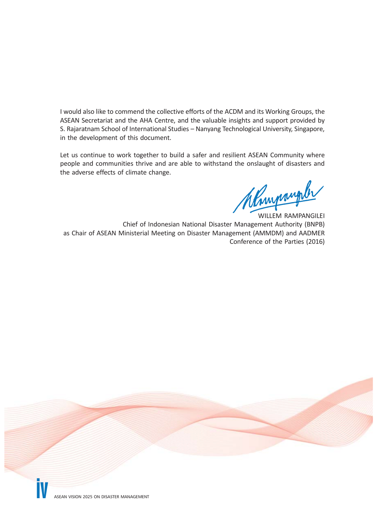I would also like to commend the collective efforts of the ACDM and its Working Groups, the ASEAN Secretariat and the AHA Centre, and the valuable insights and support provided by S. Rajaratnam School of International Studies – Nanyang Technological University, Singapore, in the development of this document.

Let us continue to work together to build a safer and resilient ASEAN Community where people and communities thrive and are able to withstand the onslaught of disasters and the adverse effects of climate change.

WILLEM BANDANGILEI

Chief of Indonesian National Disaster Management Authority (BNPB) as Chair of ASEAN Ministerial Meeting on Disaster Management (AMMDM) and AADMER Conference of the Parties (2016)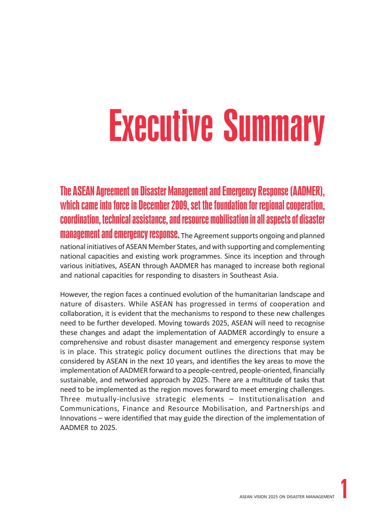## Executive Summary

The ASEAN Agreement on Disaster Management and Emergency Response (AADMER), which came into force in December 2009, set the foundation for regional cooperation, coordination, technical assistance, and resource mobilisation in all aspects of disaster **management and emergency response.** The Agreement supports ongoing and planned national initiatives of ASEAN Member States, and with supporting and complementing national capacities and existing work programmes. Since its inception and through various initiatives, ASEAN through AADMER has managed to increase both regional and national capacities for responding to disasters in Southeast Asia.

However, the region faces a continued evolution of the humanitarian landscape and nature of disasters. While ASEAN has progressed in terms of cooperation and collaboration, it is evident that the mechanisms to respond to these new challenges need to be further developed. Moving towards 2025, ASEAN will need to recognise these changes and adapt the implementation of AADMER accordingly to ensure a comprehensive and robust disaster management and emergency response system is in place. This strategic policy document outlines the directions that may be considered by ASEAN in the next 10 years, and identifies the key areas to move the implementation of AADMER forward to a people-centred, people-oriented, financially sustainable, and networked approach by 2025. There are a multitude of tasks that need to be implemented as the region moves forward to meet emerging challenges. Three mutually-inclusive strategic elements – Institutionalisation and Communications, Finance and Resource Mobilisation, and Partnerships and Innovations – were identified that may guide the direction of the implementation of AADMER to 2025.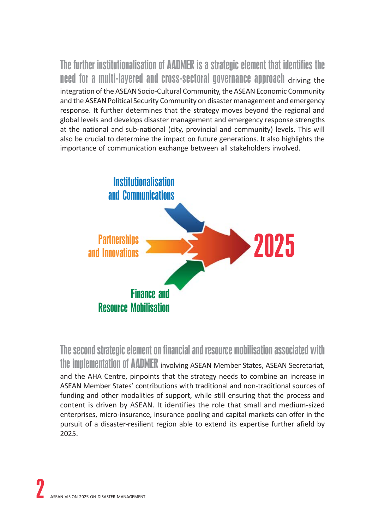The further institutionalisation of AADMER is a strategic element that identifies the need for a multi-layered and cross-sectoral governance approach driving the integration of the ASEAN Socio-Cultural Community, the ASEAN Economic Community and the ASEAN Political Security Community on disaster management and emergency response. It further determines that the strategy moves beyond the regional and global levels and develops disaster management and emergency response strengths at the national and sub-national (city, provincial and community) levels. This will also be crucial to determine the impact on future generations. It also highlights the importance of communication exchange between all stakeholders involved.



The second strategic element on financial and resource mobilisation associated with the implementation of AADMER involving ASEAN Member States, ASEAN Secretariat, and the AHA Centre, pinpoints that the strategy needs to combine an increase in ASEAN Member States' contributions with traditional and non-traditional sources of funding and other modalities of support, while still ensuring that the process and content is driven by ASEAN. It identifies the role that small and medium-sized enterprises, micro-insurance, insurance pooling and capital markets can offer in the pursuit of a disaster-resilient region able to extend its expertise further afield by 2025.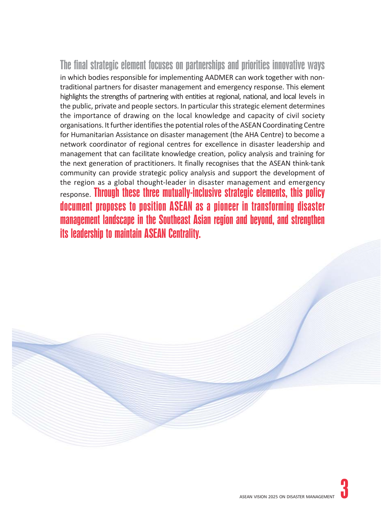The final strategic element focuses on partnerships and priorities innovative ways in which bodies responsible for implementing AADMER can work together with nontraditional partners for disaster management and emergency response. This element highlights the strengths of partnering with entities at regional, national, and local levels in the public, private and people sectors. In particular this strategic element determines the importance of drawing on the local knowledge and capacity of civil society organisations. It further identifies the potential roles of the ASEAN Coordinating Centre for Humanitarian Assistance on disaster management (the AHA Centre) to become a network coordinator of regional centres for excellence in disaster leadership and management that can facilitate knowledge creation, policy analysis and training for the next generation of practitioners. It finally recognises that the ASEAN think-tank community can provide strategic policy analysis and support the development of the region as a global thought-leader in disaster management and emergency response. Through these three mutually-inclusive strategic elements, this policy document proposes to position ASEAN as a pioneer in transforming disaster management landscape in the Southeast Asian region and beyond, and strengthen its leadership to maintain ASEAN Centrality.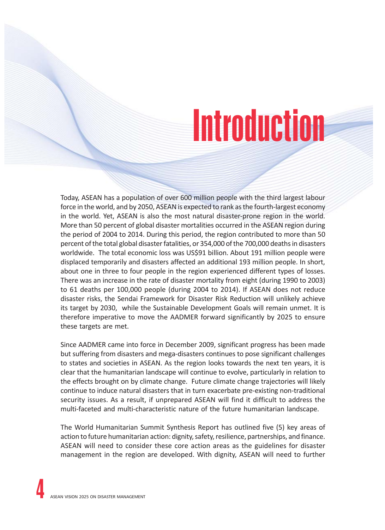### **Introduction**

Today, ASEAN has a population of over 600 million people with the third largest labour force in the world, and by 2050, ASEAN is expected to rank as the fourth-largest economy in the world. Yet, ASEAN is also the most natural disaster-prone region in the world. More than 50 percent of global disaster mortalities occurred in the ASEAN region during the period of 2004 to 2014. During this period, the region contributed to more than 50 percent of the total global disaster fatalities, or 354,000 of the 700,000 deaths in disasters worldwide. The total economic loss was US\$91 billion. About 191 million people were displaced temporarily and disasters affected an additional 193 million people. In short, about one in three to four people in the region experienced different types of losses. There was an increase in the rate of disaster mortality from eight (during 1990 to 2003) to 61 deaths per 100,000 people (during 2004 to 2014). If ASEAN does not reduce disaster risks, the Sendai Framework for Disaster Risk Reduction will unlikely achieve its target by 2030, while the Sustainable Development Goals will remain unmet. It is therefore imperative to move the AADMER forward significantly by 2025 to ensure these targets are met.

Since AADMER came into force in December 2009, significant progress has been made but suffering from disasters and mega-disasters continues to pose significant challenges to states and societies in ASEAN. As the region looks towards the next ten years, it is clear that the humanitarian landscape will continue to evolve, particularly in relation to the effects brought on by climate change. Future climate change trajectories will likely continue to induce natural disasters that in turn exacerbate pre-existing non-traditional security issues. As a result, if unprepared ASEAN will find it difficult to address the multi-faceted and multi-characteristic nature of the future humanitarian landscape.

The World Humanitarian Summit Synthesis Report has outlined five (5) key areas of action to future humanitarian action: dignity, safety, resilience, partnerships, and finance. ASEAN will need to consider these core action areas as the guidelines for disaster management in the region are developed. With dignity, ASEAN will need to further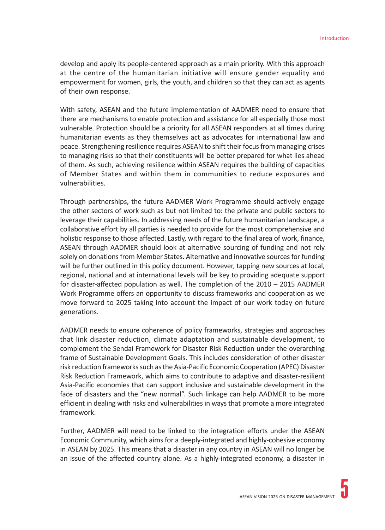develop and apply its people-centered approach as a main priority. With this approach at the centre of the humanitarian initiative will ensure gender equality and empowerment for women, girls, the youth, and children so that they can act as agents of their own response.

With safety, ASEAN and the future implementation of AADMER need to ensure that there are mechanisms to enable protection and assistance for all especially those most vulnerable. Protection should be a priority for all ASEAN responders at all times during humanitarian events as they themselves act as advocates for international law and peace. Strengthening resilience requires ASEAN to shift their focus from managing crises to managing risks so that their constituents will be better prepared for what lies ahead of them. As such, achieving resilience within ASEAN requires the building of capacities of Member States and within them in communities to reduce exposures and vulnerabilities.

Through partnerships, the future AADMER Work Programme should actively engage the other sectors of work such as but not limited to: the private and public sectors to leverage their capabilities. In addressing needs of the future humanitarian landscape, a collaborative effort by all parties is needed to provide for the most comprehensive and holistic response to those affected. Lastly, with regard to the final area of work, finance, ASEAN through AADMER should look at alternative sourcing of funding and not rely solely on donations from Member States. Alternative and innovative sources for funding will be further outlined in this policy document. However, tapping new sources at local, regional, national and at international levels will be key to providing adequate support for disaster-affected population as well. The completion of the 2010 – 2015 AADMER Work Programme offers an opportunity to discuss frameworks and cooperation as we move forward to 2025 taking into account the impact of our work today on future generations.

AADMER needs to ensure coherence of policy frameworks, strategies and approaches that link disaster reduction, climate adaptation and sustainable development, to complement the Sendai Framework for Disaster Risk Reduction under the overarching frame of Sustainable Development Goals. This includes consideration of other disaster risk reduction frameworks such as the Asia-Pacific Economic Cooperation (APEC) Disaster Risk Reduction Framework, which aims to contribute to adaptive and disaster-resilient Asia-Pacific economies that can support inclusive and sustainable development in the face of disasters and the "new normal". Such linkage can help AADMER to be more efficient in dealing with risks and vulnerabilities in ways that promote a more integrated framework.

Further, AADMER will need to be linked to the integration efforts under the ASEAN Economic Community, which aims for a deeply-integrated and highly-cohesive economy in ASEAN by 2025. This means that a disaster in any country in ASEAN will no longer be an issue of the affected country alone. As a highly-integrated economy, a disaster in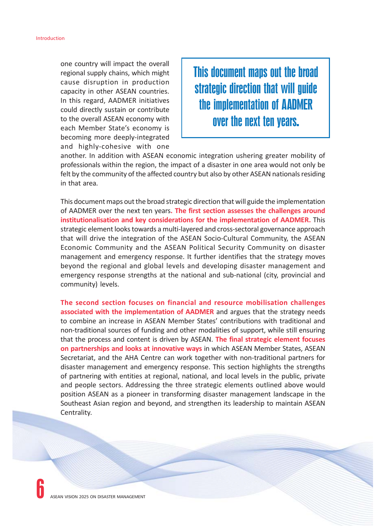one country will impact the overall regional supply chains, which might cause disruption in production capacity in other ASEAN countries. In this regard, AADMER initiatives could directly sustain or contribute to the overall ASEAN economy with each Member State's economy is becoming more deeply-integrated and highly-cohesive with one

This document maps out the broad strategic direction that will guide the implementation of AADMER over the next ten years.

another. In addition with ASEAN economic integration ushering greater mobility of professionals within the region, the impact of a disaster in one area would not only be felt by the community of the affected country but also by other ASEAN nationals residing in that area.

This document maps out the broad strategic direction that will guide the implementation of AADMER over the next ten years**. The first section assesses the challenges around institutionalisation and key considerations for the implementation of AADMER.** This strategic element looks towards a multi-layered and cross-sectoral governance approach that will drive the integration of the ASEAN Socio-Cultural Community, the ASEAN Economic Community and the ASEAN Political Security Community on disaster management and emergency response. It further identifies that the strategy moves beyond the regional and global levels and developing disaster management and emergency response strengths at the national and sub-national (city, provincial and community) levels.

**The second section focuses on financial and resource mobilisation challenges associated with the implementation of AADMER** and argues that the strategy needs to combine an increase in ASEAN Member States' contributions with traditional and non-traditional sources of funding and other modalities of support, while still ensuring that the process and content is driven by ASEAN. **The final strategic element focuses on partnerships and looks at innovative ways** in which ASEAN Member States, ASEAN Secretariat, and the AHA Centre can work together with non-traditional partners for disaster management and emergency response. This section highlights the strengths of partnering with entities at regional, national, and local levels in the public, private and people sectors. Addressing the three strategic elements outlined above would position ASEAN as a pioneer in transforming disaster management landscape in the Southeast Asian region and beyond, and strengthen its leadership to maintain ASEAN Centrality.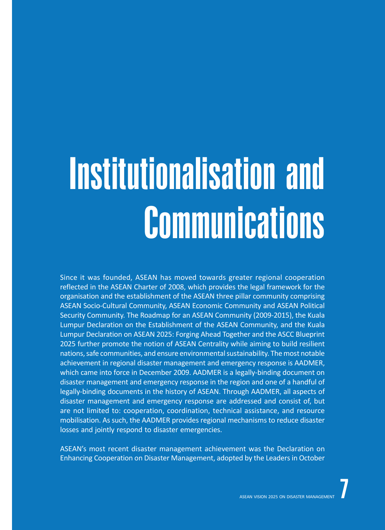## Institutionalisation and **Communications**

Since it was founded, ASEAN has moved towards greater regional cooperation reflected in the ASEAN Charter of 2008, which provides the legal framework for the organisation and the establishment of the ASEAN three pillar community comprising ASEAN Socio-Cultural Community, ASEAN Economic Community and ASEAN Political Security Community. The Roadmap for an ASEAN Community (2009-2015), the Kuala Lumpur Declaration on the Establishment of the ASEAN Community, and the Kuala Lumpur Declaration on ASEAN 2025: Forging Ahead Together and the ASCC Blueprint 2025 further promote the notion of ASEAN Centrality while aiming to build resilient nations, safe communities, and ensure environmental sustainability. The most notable achievement in regional disaster management and emergency response is AADMER, which came into force in December 2009. AADMER is a legally-binding document on disaster management and emergency response in the region and one of a handful of legally-binding documents in the history of ASEAN. Through AADMER, all aspects of disaster management and emergency response are addressed and consist of, but are not limited to: cooperation, coordination, technical assistance, and resource mobilisation. As such, the AADMER provides regional mechanisms to reduce disaster losses and jointly respond to disaster emergencies.

ASEAN's most recent disaster management achievement was the Declaration on Enhancing Cooperation on Disaster Management, adopted by the Leaders in October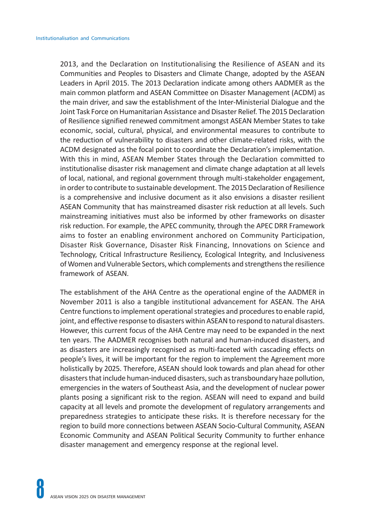2013, and the Declaration on Institutionalising the Resilience of ASEAN and its Communities and Peoples to Disasters and Climate Change, adopted by the ASEAN Leaders in April 2015. The 2013 Declaration indicate among others AADMER as the main common platform and ASEAN Committee on Disaster Management (ACDM) as the main driver, and saw the establishment of the Inter-Ministerial Dialogue and the Joint Task Force on Humanitarian Assistance and Disaster Relief. The 2015 Declaration of Resilience signified renewed commitment amongst ASEAN Member States to take economic, social, cultural, physical, and environmental measures to contribute to the reduction of vulnerability to disasters and other climate-related risks, with the ACDM designated as the focal point to coordinate the Declaration's implementation. With this in mind, ASEAN Member States through the Declaration committed to institutionalise disaster risk management and climate change adaptation at all levels of local, national, and regional government through multi-stakeholder engagement, in order to contribute to sustainable development. The 2015 Declaration of Resilience is a comprehensive and inclusive document as it also envisions a disaster resilient ASEAN Community that has mainstreamed disaster risk reduction at all levels. Such mainstreaming initiatives must also be informed by other frameworks on disaster risk reduction. For example, the APEC community, through the APEC DRR Framework aims to foster an enabling environment anchored on Community Participation, Disaster Risk Governance, Disaster Risk Financing, Innovations on Science and Technology, Critical Infrastructure Resiliency, Ecological Integrity, and Inclusiveness of Women and Vulnerable Sectors, which complements and strengthens the resilience framework of ASEAN.

The establishment of the AHA Centre as the operational engine of the AADMER in November 2011 is also a tangible institutional advancement for ASEAN. The AHA Centre functions to implement operational strategies and procedures to enable rapid, joint, and effective response to disasters within ASEAN to respond to natural disasters. However, this current focus of the AHA Centre may need to be expanded in the next ten years. The AADMER recognises both natural and human-induced disasters, and as disasters are increasingly recognised as multi-faceted with cascading effects on people's lives, it will be important for the region to implement the Agreement more holistically by 2025. Therefore, ASEAN should look towards and plan ahead for other disasters that include human-induced disasters, such as transboundary haze pollution, emergencies in the waters of Southeast Asia, and the development of nuclear power plants posing a significant risk to the region. ASEAN will need to expand and build capacity at all levels and promote the development of regulatory arrangements and preparedness strategies to anticipate these risks. It is therefore necessary for the region to build more connections between ASEAN Socio-Cultural Community, ASEAN Economic Community and ASEAN Political Security Community to further enhance disaster management and emergency response at the regional level.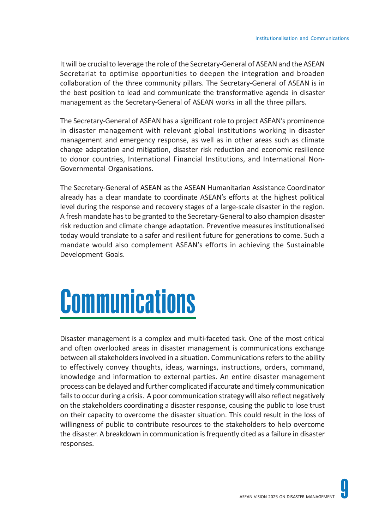It will be crucial to leverage the role of the Secretary-General of ASEAN and the ASEAN Secretariat to optimise opportunities to deepen the integration and broaden collaboration of the three community pillars. The Secretary-General of ASEAN is in the best position to lead and communicate the transformative agenda in disaster management as the Secretary-General of ASEAN works in all the three pillars.

The Secretary-General of ASEAN has a significant role to project ASEAN's prominence in disaster management with relevant global institutions working in disaster management and emergency response, as well as in other areas such as climate change adaptation and mitigation, disaster risk reduction and economic resilience to donor countries, International Financial Institutions, and International Non-Governmental Organisations.

The Secretary-General of ASEAN as the ASEAN Humanitarian Assistance Coordinator already has a clear mandate to coordinate ASEAN's efforts at the highest political level during the response and recovery stages of a large-scale disaster in the region. A fresh mandate has to be granted to the Secretary-General to also champion disaster risk reduction and climate change adaptation. Preventive measures institutionalised today would translate to a safer and resilient future for generations to come. Such a mandate would also complement ASEAN's efforts in achieving the Sustainable Development Goals.

### **Communications**

Disaster management is a complex and multi-faceted task. One of the most critical and often overlooked areas in disaster management is communications exchange between all stakeholders involved in a situation. Communications refers to the ability to effectively convey thoughts, ideas, warnings, instructions, orders, command, knowledge and information to external parties. An entire disaster management process can be delayed and further complicated if accurate and timely communication fails to occur during a crisis. A poor communication strategy will also reflect negatively on the stakeholders coordinating a disaster response, causing the public to lose trust on their capacity to overcome the disaster situation. This could result in the loss of willingness of public to contribute resources to the stakeholders to help overcome the disaster. A breakdown in communication is frequently cited as a failure in disaster responses.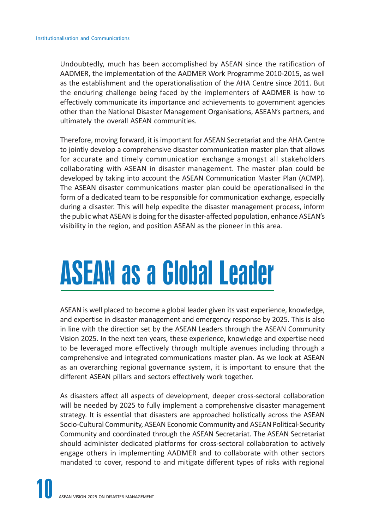Undoubtedly, much has been accomplished by ASEAN since the ratification of AADMER, the implementation of the AADMER Work Programme 2010-2015, as well as the establishment and the operationalisation of the AHA Centre since 2011. But the enduring challenge being faced by the implementers of AADMER is how to effectively communicate its importance and achievements to government agencies other than the National Disaster Management Organisations, ASEAN's partners, and ultimately the overall ASEAN communities.

Therefore, moving forward, it is important for ASEAN Secretariat and the AHA Centre to jointly develop a comprehensive disaster communication master plan that allows for accurate and timely communication exchange amongst all stakeholders collaborating with ASEAN in disaster management. The master plan could be developed by taking into account the ASEAN Communication Master Plan (ACMP). The ASEAN disaster communications master plan could be operationalised in the form of a dedicated team to be responsible for communication exchange, especially during a disaster. This will help expedite the disaster management process, inform the public what ASEAN is doing for the disaster-affected population, enhance ASEAN's visibility in the region, and position ASEAN as the pioneer in this area.

#### ASEAN as a Global Leader

ASEAN is well placed to become a global leader given its vast experience, knowledge, and expertise in disaster management and emergency response by 2025. This is also in line with the direction set by the ASEAN Leaders through the ASEAN Community Vision 2025. In the next ten years, these experience, knowledge and expertise need to be leveraged more effectively through multiple avenues including through a comprehensive and integrated communications master plan. As we look at ASEAN as an overarching regional governance system, it is important to ensure that the different ASEAN pillars and sectors effectively work together.

As disasters affect all aspects of development, deeper cross-sectoral collaboration will be needed by 2025 to fully implement a comprehensive disaster management strategy. It is essential that disasters are approached holistically across the ASEAN Socio-Cultural Community, ASEAN Economic Community and ASEAN Political-Security Community and coordinated through the ASEAN Secretariat. The ASEAN Secretariat should administer dedicated platforms for cross-sectoral collaboration to actively engage others in implementing AADMER and to collaborate with other sectors mandated to cover, respond to and mitigate different types of risks with regional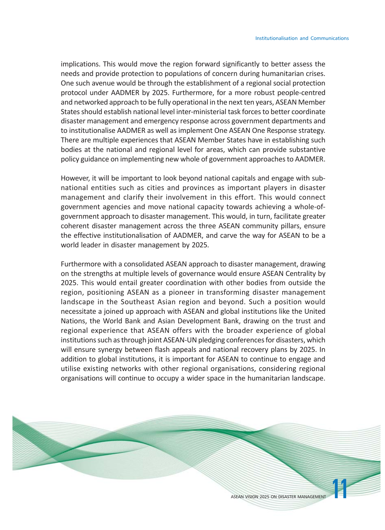implications. This would move the region forward significantly to better assess the needs and provide protection to populations of concern during humanitarian crises. One such avenue would be through the establishment of a regional social protection protocol under AADMER by 2025. Furthermore, for a more robust people-centred and networked approach to be fully operational in the next ten years, ASEAN Member States should establish national level inter-ministerial task forces to better coordinate disaster management and emergency response across government departments and to institutionalise AADMER as well as implement One ASEAN One Response strategy. There are multiple experiences that ASEAN Member States have in establishing such bodies at the national and regional level for areas, which can provide substantive policy guidance on implementing new whole of government approaches to AADMER.

However, it will be important to look beyond national capitals and engage with subnational entities such as cities and provinces as important players in disaster management and clarify their involvement in this effort. This would connect government agencies and move national capacity towards achieving a whole-ofgovernment approach to disaster management. This would, in turn, facilitate greater coherent disaster management across the three ASEAN community pillars, ensure the effective institutionalisation of AADMER, and carve the way for ASEAN to be a world leader in disaster management by 2025.

Furthermore with a consolidated ASEAN approach to disaster management, drawing on the strengths at multiple levels of governance would ensure ASEAN Centrality by 2025. This would entail greater coordination with other bodies from outside the region, positioning ASEAN as a pioneer in transforming disaster management landscape in the Southeast Asian region and beyond. Such a position would necessitate a joined up approach with ASEAN and global institutions like the United Nations, the World Bank and Asian Development Bank, drawing on the trust and regional experience that ASEAN offers with the broader experience of global institutions such as through joint ASEAN-UN pledging conferences for disasters, which will ensure synergy between flash appeals and national recovery plans by 2025. In addition to global institutions, it is important for ASEAN to continue to engage and utilise existing networks with other regional organisations, considering regional organisations will continue to occupy a wider space in the humanitarian landscape.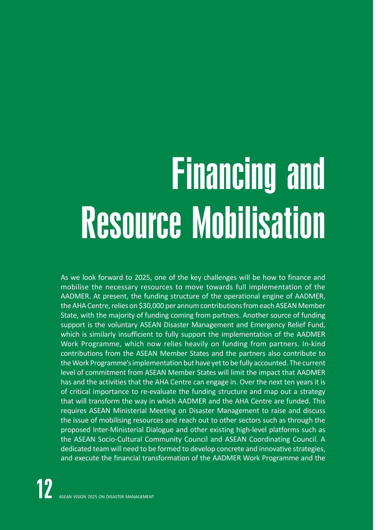# Financing and Resource Mobilisation

As we look forward to 2025, one of the key challenges will be how to finance and mobilise the necessary resources to move towards full implementation of the AADMER. At present, the funding structure of the operational engine of AADMER, the AHA Centre, relies on \$30,000 per annum contributions from each ASEAN Member State, with the majority of funding coming from partners. Another source of funding support is the voluntary ASEAN Disaster Management and Emergency Relief Fund, which is similarly insufficient to fully support the implementation of the AADMER Work Programme, which now relies heavily on funding from partners. In-kind contributions from the ASEAN Member States and the partners also contribute to the Work Programme's implementation but have yet to be fully accounted. The current level of commitment from ASEAN Member States will limit the impact that AADMER has and the activities that the AHA Centre can engage in. Over the next ten years it is of critical importance to re-evaluate the funding structure and map out a strategy that will transform the way in which AADMER and the AHA Centre are funded. This requires ASEAN Ministerial Meeting on Disaster Management to raise and discuss the issue of mobilising resources and reach out to other sectors such as through the proposed Inter-Ministerial Dialogue and other existing high-level platforms such as the ASEAN Socio-Cultural Community Council and ASEAN Coordinating Council. A dedicated team will need to be formed to develop concrete and innovative strategies, and execute the financial transformation of the AADMER Work Programme and the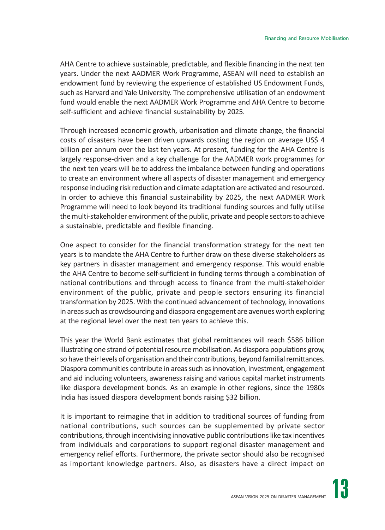AHA Centre to achieve sustainable, predictable, and flexible financing in the next ten years. Under the next AADMER Work Programme, ASEAN will need to establish an endowment fund by reviewing the experience of established US Endowment Funds, such as Harvard and Yale University. The comprehensive utilisation of an endowment fund would enable the next AADMER Work Programme and AHA Centre to become self-sufficient and achieve financial sustainability by 2025.

Through increased economic growth, urbanisation and climate change, the financial costs of disasters have been driven upwards costing the region on average US\$ 4 billion per annum over the last ten years. At present, funding for the AHA Centre is largely response-driven and a key challenge for the AADMER work programmes for the next ten years will be to address the imbalance between funding and operations to create an environment where all aspects of disaster management and emergency response including risk reduction and climate adaptation are activated and resourced. In order to achieve this financial sustainability by 2025, the next AADMER Work Programme will need to look beyond its traditional funding sources and fully utilise the multi-stakeholder environment of the public, private and people sectors to achieve a sustainable, predictable and flexible financing.

One aspect to consider for the financial transformation strategy for the next ten years is to mandate the AHA Centre to further draw on these diverse stakeholders as key partners in disaster management and emergency response. This would enable the AHA Centre to become self-sufficient in funding terms through a combination of national contributions and through access to finance from the multi-stakeholder environment of the public, private and people sectors ensuring its financial transformation by 2025. With the continued advancement of technology, innovations in areas such as crowdsourcing and diaspora engagement are avenues worth exploring at the regional level over the next ten years to achieve this.

This year the World Bank estimates that global remittances will reach \$586 billion illustrating one strand of potential resource mobilisation. As diaspora populations grow, so have their levels of organisation and their contributions, beyond familial remittances. Diaspora communities contribute in areas such as innovation, investment, engagement and aid including volunteers, awareness raising and various capital market instruments like diaspora development bonds. As an example in other regions, since the 1980s India has issued diaspora development bonds raising \$32 billion.

It is important to reimagine that in addition to traditional sources of funding from national contributions, such sources can be supplemented by private sector contributions, through incentivising innovative public contributions like tax incentives from individuals and corporations to support regional disaster management and emergency relief efforts. Furthermore, the private sector should also be recognised as important knowledge partners. Also, as disasters have a direct impact on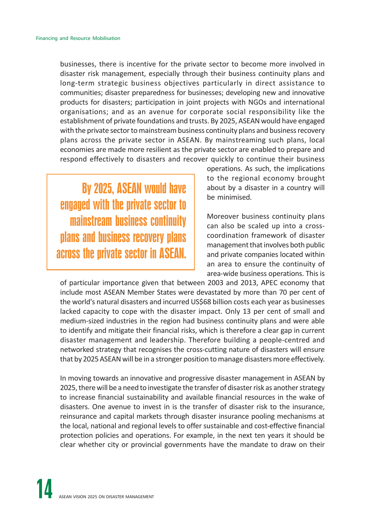businesses, there is incentive for the private sector to become more involved in disaster risk management, especially through their business continuity plans and long-term strategic business objectives particularly in direct assistance to communities; disaster preparedness for businesses; developing new and innovative products for disasters; participation in joint projects with NGOs and international organisations; and as an avenue for corporate social responsibility like the establishment of private foundations and trusts. By 2025, ASEAN would have engaged with the private sector to mainstream business continuity plans and business recovery plans across the private sector in ASEAN. By mainstreaming such plans, local economies are made more resilient as the private sector are enabled to prepare and respond effectively to disasters and recover quickly to continue their business

By 2025, ASEAN would have engaged with the private sector to mainstream business continuity plans and business recovery plans across the private sector in ASEAN.

operations. As such, the implications to the regional economy brought about by a disaster in a country will be minimised.

Moreover business continuity plans can also be scaled up into a crosscoordination framework of disaster management that involves both public and private companies located within an area to ensure the continuity of area-wide business operations. This is

of particular importance given that between 2003 and 2013, APEC economy that include most ASEAN Member States were devastated by more than 70 per cent of the world's natural disasters and incurred US\$68 billion costs each year as businesses lacked capacity to cope with the disaster impact. Only 13 per cent of small and medium-sized industries in the region had business continuity plans and were able to identify and mitigate their financial risks, which is therefore a clear gap in current disaster management and leadership. Therefore building a people-centred and networked strategy that recognises the cross-cutting nature of disasters will ensure that by 2025 ASEAN will be in a stronger position to manage disasters more effectively.

In moving towards an innovative and progressive disaster management in ASEAN by 2025, there will be a need to investigate the transfer of disaster risk as another strategy to increase financial sustainability and available financial resources in the wake of disasters. One avenue to invest in is the transfer of disaster risk to the insurance, reinsurance and capital markets through disaster insurance pooling mechanisms at the local, national and regional levels to offer sustainable and cost-effective financial protection policies and operations. For example, in the next ten years it should be clear whether city or provincial governments have the mandate to draw on their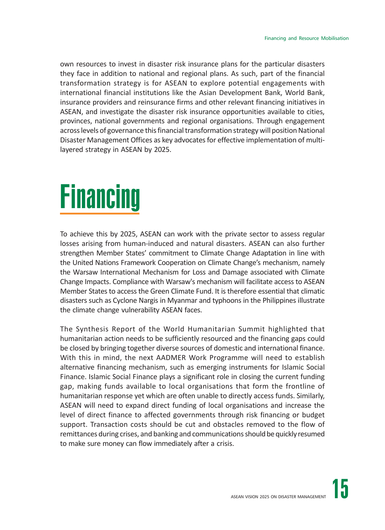own resources to invest in disaster risk insurance plans for the particular disasters they face in addition to national and regional plans. As such, part of the financial transformation strategy is for ASEAN to explore potential engagements with international financial institutions like the Asian Development Bank, World Bank, insurance providers and reinsurance firms and other relevant financing initiatives in ASEAN, and investigate the disaster risk insurance opportunities available to cities, provinces, national governments and regional organisations. Through engagement across levels of governance this financial transformation strategy will position National Disaster Management Offices as key advocates for effective implementation of multilayered strategy in ASEAN by 2025.

### Financing

To achieve this by 2025, ASEAN can work with the private sector to assess regular losses arising from human-induced and natural disasters. ASEAN can also further strengthen Member States' commitment to Climate Change Adaptation in line with the United Nations Framework Cooperation on Climate Change's mechanism, namely the Warsaw International Mechanism for Loss and Damage associated with Climate Change Impacts. Compliance with Warsaw's mechanism will facilitate access to ASEAN Member States to access the Green Climate Fund. It is therefore essential that climatic disasters such as Cyclone Nargis in Myanmar and typhoons in the Philippines illustrate the climate change vulnerability ASEAN faces.

The Synthesis Report of the World Humanitarian Summit highlighted that humanitarian action needs to be sufficiently resourced and the financing gaps could be closed by bringing together diverse sources of domestic and international finance. With this in mind, the next AADMER Work Programme will need to establish alternative financing mechanism, such as emerging instruments for Islamic Social Finance. Islamic Social Finance plays a significant role in closing the current funding gap, making funds available to local organisations that form the frontline of humanitarian response yet which are often unable to directly access funds. Similarly, ASEAN will need to expand direct funding of local organisations and increase the level of direct finance to affected governments through risk financing or budget support. Transaction costs should be cut and obstacles removed to the flow of remittances during crises, and banking and communications should be quickly resumed to make sure money can flow immediately after a crisis.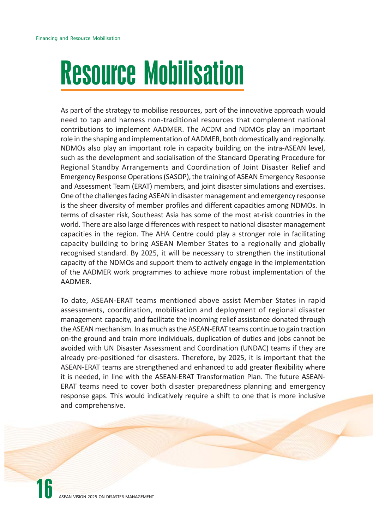#### Resource Mobilisation

As part of the strategy to mobilise resources, part of the innovative approach would need to tap and harness non-traditional resources that complement national contributions to implement AADMER. The ACDM and NDMOs play an important role in the shaping and implementation of AADMER, both domestically and regionally. NDMOs also play an important role in capacity building on the intra-ASEAN level, such as the development and socialisation of the Standard Operating Procedure for Regional Standby Arrangements and Coordination of Joint Disaster Relief and Emergency Response Operations (SASOP), the training of ASEAN Emergency Response and Assessment Team (ERAT) members, and joint disaster simulations and exercises. One of the challenges facing ASEAN in disaster management and emergency response is the sheer diversity of member profiles and different capacities among NDMOs. In terms of disaster risk, Southeast Asia has some of the most at-risk countries in the world. There are also large differences with respect to national disaster management capacities in the region. The AHA Centre could play a stronger role in facilitating capacity building to bring ASEAN Member States to a regionally and globally recognised standard. By 2025, it will be necessary to strengthen the institutional capacity of the NDMOs and support them to actively engage in the implementation of the AADMER work programmes to achieve more robust implementation of the AADMER.

To date, ASEAN-ERAT teams mentioned above assist Member States in rapid assessments, coordination, mobilisation and deployment of regional disaster management capacity, and facilitate the incoming relief assistance donated through the ASEAN mechanism. In as much as the ASEAN-ERAT teams continue to gain traction on-the ground and train more individuals, duplication of duties and jobs cannot be avoided with UN Disaster Assessment and Coordination (UNDAC) teams if they are already pre-positioned for disasters. Therefore, by 2025, it is important that the ASEAN-ERAT teams are strengthened and enhanced to add greater flexibility where it is needed, in line with the ASEAN-ERAT Transformation Plan. The future ASEAN-ERAT teams need to cover both disaster preparedness planning and emergency response gaps. This would indicatively require a shift to one that is more inclusive and comprehensive.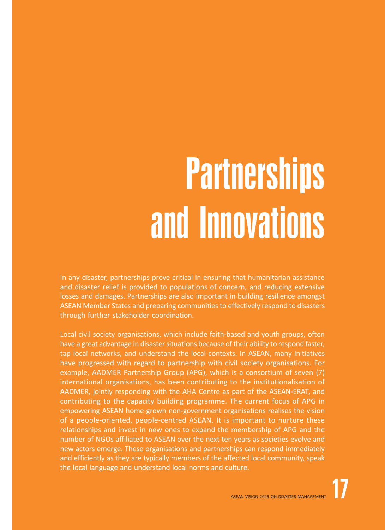# **Partnerships** and Innovations

In any disaster, partnerships prove critical in ensuring that humanitarian assistance and disaster relief is provided to populations of concern, and reducing extensive losses and damages. Partnerships are also important in building resilience amongst ASEAN Member States and preparing communities to effectively respond to disasters through further stakeholder coordination.

Local civil society organisations, which include faith-based and youth groups, often have a great advantage in disaster situations because of their ability to respond faster, tap local networks, and understand the local contexts. In ASEAN, many initiatives have progressed with regard to partnership with civil society organisations. For example, AADMER Partnership Group (APG), which is a consortium of seven (7) international organisations, has been contributing to the institutionalisation of AADMER, jointly responding with the AHA Centre as part of the ASEAN-ERAT, and contributing to the capacity building programme. The current focus of APG in empowering ASEAN home-grown non-government organisations realises the vision of a people-oriented, people-centred ASEAN. It is important to nurture these relationships and invest in new ones to expand the membership of APG and the number of NGOs affiliated to ASEAN over the next ten years as societies evolve and new actors emerge. These organisations and partnerships can respond immediately and efficiently as they are typically members of the affected local community, speak the local language and understand local norms and culture.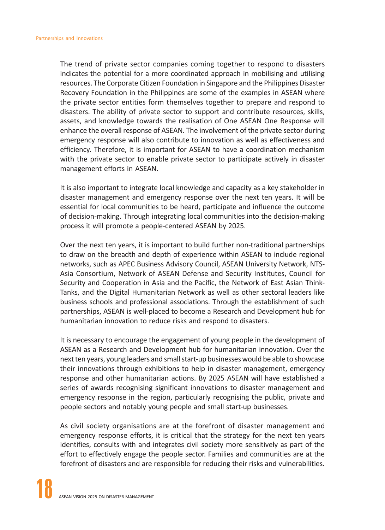The trend of private sector companies coming together to respond to disasters indicates the potential for a more coordinated approach in mobilising and utilising resources. The Corporate Citizen Foundation in Singapore and the Philippines Disaster Recovery Foundation in the Philippines are some of the examples in ASEAN where the private sector entities form themselves together to prepare and respond to disasters. The ability of private sector to support and contribute resources, skills, assets, and knowledge towards the realisation of One ASEAN One Response will enhance the overall response of ASEAN. The involvement of the private sector during emergency response will also contribute to innovation as well as effectiveness and efficiency. Therefore, it is important for ASEAN to have a coordination mechanism with the private sector to enable private sector to participate actively in disaster management efforts in ASEAN.

It is also important to integrate local knowledge and capacity as a key stakeholder in disaster management and emergency response over the next ten years. It will be essential for local communities to be heard, participate and influence the outcome of decision-making. Through integrating local communities into the decision-making process it will promote a people-centered ASEAN by 2025.

Over the next ten years, it is important to build further non-traditional partnerships to draw on the breadth and depth of experience within ASEAN to include regional networks, such as APEC Business Advisory Council, ASEAN University Network, NTS-Asia Consortium, Network of ASEAN Defense and Security Institutes, Council for Security and Cooperation in Asia and the Pacific, the Network of East Asian Think-Tanks, and the Digital Humanitarian Network as well as other sectoral leaders like business schools and professional associations. Through the establishment of such partnerships, ASEAN is well-placed to become a Research and Development hub for humanitarian innovation to reduce risks and respond to disasters.

It is necessary to encourage the engagement of young people in the development of ASEAN as a Research and Development hub for humanitarian innovation. Over the next ten years, young leaders and small start-up businesses would be able to showcase their innovations through exhibitions to help in disaster management, emergency response and other humanitarian actions. By 2025 ASEAN will have established a series of awards recognising significant innovations to disaster management and emergency response in the region, particularly recognising the public, private and people sectors and notably young people and small start-up businesses.

As civil society organisations are at the forefront of disaster management and emergency response efforts, it is critical that the strategy for the next ten years identifies, consults with and integrates civil society more sensitively as part of the effort to effectively engage the people sector. Families and communities are at the forefront of disasters and are responsible for reducing their risks and vulnerabilities.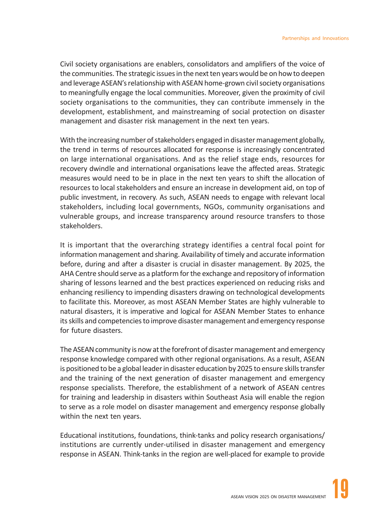Civil society organisations are enablers, consolidators and amplifiers of the voice of the communities. The strategic issues in the next ten years would be on how to deepen and leverage ASEAN's relationship with ASEAN home-grown civil society organisations to meaningfully engage the local communities. Moreover, given the proximity of civil society organisations to the communities, they can contribute immensely in the development, establishment, and mainstreaming of social protection on disaster management and disaster risk management in the next ten years.

With the increasing number of stakeholders engaged in disaster management globally, the trend in terms of resources allocated for response is increasingly concentrated on large international organisations. And as the relief stage ends, resources for recovery dwindle and international organisations leave the affected areas. Strategic measures would need to be in place in the next ten years to shift the allocation of resources to local stakeholders and ensure an increase in development aid, on top of public investment, in recovery. As such, ASEAN needs to engage with relevant local stakeholders, including local governments, NGOs, community organisations and vulnerable groups, and increase transparency around resource transfers to those stakeholders.

It is important that the overarching strategy identifies a central focal point for information management and sharing. Availability of timely and accurate information before, during and after a disaster is crucial in disaster management. By 2025, the AHA Centre should serve as a platform for the exchange and repository of information sharing of lessons learned and the best practices experienced on reducing risks and enhancing resiliency to impending disasters drawing on technological developments to facilitate this. Moreover, as most ASEAN Member States are highly vulnerable to natural disasters, it is imperative and logical for ASEAN Member States to enhance its skills and competencies to improve disaster management and emergency response for future disasters.

The ASEAN community is now at the forefront of disaster management and emergency response knowledge compared with other regional organisations. As a result, ASEAN is positioned to be a global leader in disaster education by 2025 to ensure skills transfer and the training of the next generation of disaster management and emergency response specialists. Therefore, the establishment of a network of ASEAN centres for training and leadership in disasters within Southeast Asia will enable the region to serve as a role model on disaster management and emergency response globally within the next ten years.

Educational institutions, foundations, think-tanks and policy research organisations/ institutions are currently under-utilised in disaster management and emergency response in ASEAN. Think-tanks in the region are well-placed for example to provide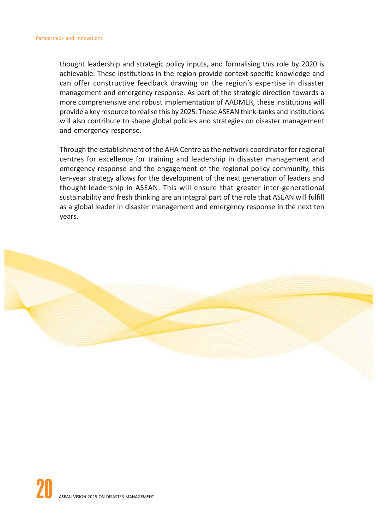thought leadership and strategic policy inputs, and formalising this role by 2020 is achievable. These institutions in the region provide context-specific knowledge and can offer constructive feedback drawing on the region's expertise in disaster management and emergency response. As part of the strategic direction towards a more comprehensive and robust implementation of AADMER, these institutions will provide a key resource to realise this by 2025. These ASEAN think-tanks and institutions will also contribute to shape global policies and strategies on disaster management and emergency response.

Through the establishment of the AHA Centre as the network coordinator for regional centres for excellence for training and leadership in disaster management and emergency response and the engagement of the regional policy community, this ten-year strategy allows for the development of the next generation of leaders and thought-leadership in ASEAN. This will ensure that greater inter-generational sustainability and fresh thinking are an integral part of the role that ASEAN will fulfill as a global leader in disaster management and emergency response in the next ten years.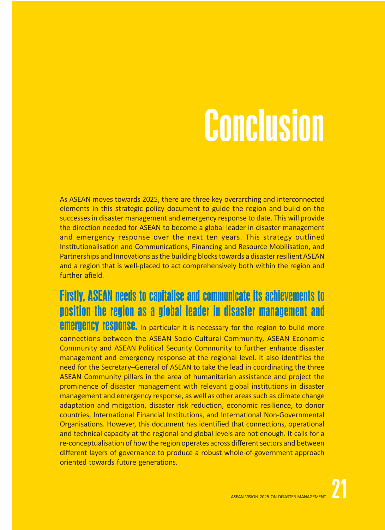## **Conclusion**

As ASEAN moves towards 2025, there are three key overarching and interconnected elements in this strategic policy document to guide the region and build on the successes in disaster management and emergency response to date. This will provide the direction needed for ASEAN to become a global leader in disaster management and emergency response over the next ten years. This strategy outlined Institutionalisation and Communications, Financing and Resource Mobilisation, and Partnerships and Innovations as the building blocks towards a disaster resilient ASEAN and a region that is well-placed to act comprehensively both within the region and further afield.

#### Firstly, ASEAN needs to capitalise and communicate its achievements to position the region as a global leader in disaster management and

emergency resudinse. In particular it is necessary for the region to build more connections between the ASEAN Socio-Cultural Community, ASEAN Economic Community and ASEAN Political Security Community to further enhance disaster management and emergency response at the regional level. It also identifies the need for the Secretary–General of ASEAN to take the lead in coordinating the three ASEAN Community pillars in the area of humanitarian assistance and project the prominence of disaster management with relevant global institutions in disaster management and emergency response, as well as other areas such as climate change adaptation and mitigation, disaster risk reduction, economic resilience, to donor countries, International Financial Institutions, and International Non-Governmental Organisations. However, this document has identified that connections, operational and technical capacity at the regional and global levels are not enough. It calls for a re-conceptualisation of how the region operates across different sectors and between different layers of governance to produce a robust whole-of-government approach oriented towards future generations.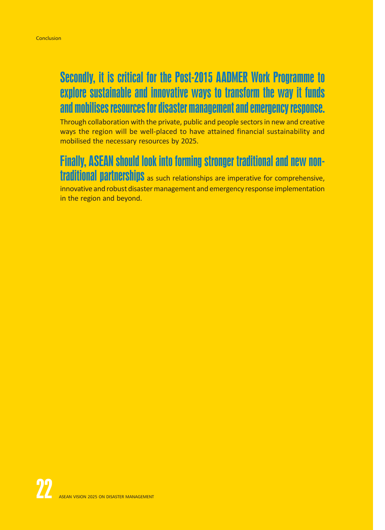#### Secondly, it is critical for the Post-2015 AADMER Work Programme to explore sustainable and innovative ways to transform the way it funds and mobilises resources for disaster management and emergency response.

Through collaboration with the private, public and people sectors in new and creative ways the region will be well-placed to have attained financial sustainability and mobilised the necessary resources by 2025.

#### Finally, ASEAN should look into forming stronger traditional and new nontraditional partnerships as such relationships are imperative for comprehensive, innovative and robust disaster management and emergency response implementation in the region and beyond.